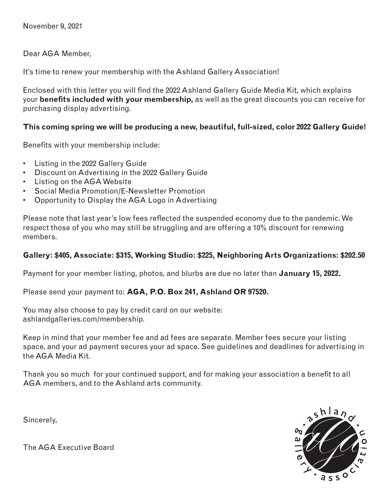November 9, 2021

Dear AGA Member,

It's time to renew your membership with the Ashland Gallery Association!

Enclosed with this letter you will find the 2022 Ashland Gallery Guide Media Kit, which explains your **benefits included with your membership,** as well as the great discounts you can receive for purchasing display advertising.

### **This coming spring we will be producing a new, beautiful, full-sized, color 2022 Gallery Guide!**

Benefits with your membership include:

- Listing in the 2022 Gallery Guide
- Discount on Advertising in the 2022 Gallery Guide
- Listing on the AGA Website
- Social Media Promotion/E-Newsletter Promotion
- Opportunity to Display the AGA Logo in Advertising

Please note that last year's low fees reflected the suspended economy due to the pandemic. We respect those of you who may still be struggling and are offering a 10% discount for renewing members.

## **Gallery: \$405, Associate: \$315, Working Studio: \$225, Neighboring Arts Organizations: \$202.50**

Payment for your member listing, photos, and blurbs are due no later than **January 15, 2022.**

Please send your payment to: **AGA, P.O. Box 241, Ashland OR 97520.**

You may also choose to pay by credit card on our website: ashlandgalleries.com/membership.

Keep in mind that your member fee and ad fees are separate. Member fees secure your listing space, and your ad payment secures your ad space. See guidelines and deadlines for advertising in the AGA Media Kit.

Thank you so much for your continued support, and for making your association a benefit to all AGA members, and to the Ashland arts community.

Sincerely,

h I a z  $\overline{a}$  s s  $\circ$ 

The AGA Executive Board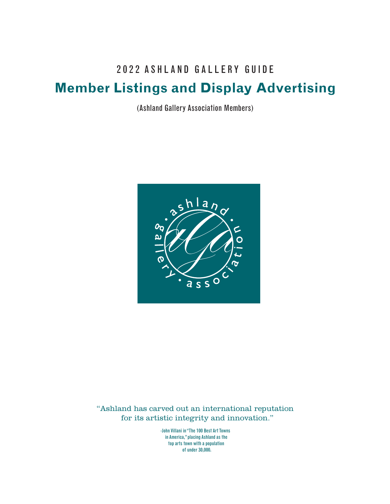## 202 2 ASHLAND GALLERY GUIDE

## **Member Listings and Display Advertising**

(Ashland Gallery Association Members)



"Ashland has carved out an international reputation for its artistic integrity and innovation."

> -John Villani in "The 100 Best Art Towns in America," placing Ashland as the top arts town with a population of under 30,000.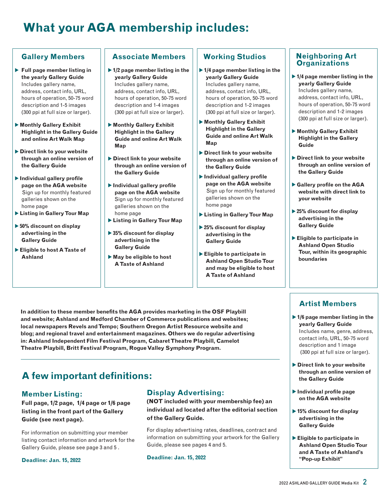## **What your AGA membership includes:**

### **Gallery Members**

- **Full page member listing in the yearly Gallery Guide**  Includes gallery name, address, contact info, URL, hours of operation, 50-75 word description and 1-5 images (300 ppi at full size or larger).
- **Monthly Gallery Exhibit Highlight in the Gallery Guide and online Art Walk Map**
- **Direct link to your website through an online version of the Gallery Guide**
- **Individual gallery profile page on the AGA website**  Sign up for monthly featured galleries shown on the home page
- **Listing in Gallery Tour Map**
- **50% discount on display advertising in the Gallery Guide**
- **Eligible to host A Taste of Ashland**

### **Associate Members**

- **1/2 page member listing in the yearly Gallery Guide**  Includes gallery name, address, contact info, URL, hours of operation, 50-75 word description and 1-4 images (300 ppi at full size or larger).
- **Monthly Gallery Exhibit Highlight in the Gallery Guide and online Art Walk Map**
- **Direct link to your website through an online version of the Gallery Guide**
- **Individual gallery profile page on the AGA website**  Sign up for monthly featured galleries shown on the home page
- **Listing in Gallery Tour Map**
- ▶ 35% discount for display **advertising in the Gallery Guide**
- **May be eligible to host A Taste of Ashland**

**In addition to these member benefits the AGA provides marketing in the OSF Playbill and website; Ashland and Medford Chamber of Commerce publications and websites; local newspapers Revels and Tempo; Southern Oregon Artist Resource website and blog; and regional travel and entertainment magazines. Others we do regular advertising in: Ashland Independent Film Festival Program, Cabaret Theatre Playbill, Camelot Theatre Playbill, Britt Festival Program, Rogue Valley Symphony Program.**

## **Working Studios**

- ▶ 1/4 page member listing in the **yearly Gallery Guide**  Includes gallery name, address, contact info, URL, hours of operation, 50-75 word description and 1-2 images (300 ppi at full size or larger).
- **Monthly Gallery Exhibit Highlight in the Gallery Guide and online Art Walk Map**
- **Direct link to your website through an online version of the Gallery Guide**
- **Individual gallery profile page on the AGA website**  Sign up for monthly featured galleries shown on the home page
- **Listing in Gallery Tour Map**
- **25% discount for display advertising in the Gallery Guide**
- **Eligible to participate in Ashland Open Studio Tour and may be eligible to host A Taste of Ashland**

#### **Neighboring Art Organizations**

- **1/4 page member listing in the yearly Gallery Guide**  Includes gallery name, address, contact info, URL, hours of operation, 50-75 word description and 1-2 images (300 ppi at full size or larger).
- **Monthly Gallery Exhibit Highlight in the Gallery Guide**
- **Direct link to your website through an online version of the Gallery Guide**
- **Gallery profile on the AGA website with direct link to your website**
- **25% discount for display advertising in the Gallery Guide**
- **Eligible to participate in Ashland Open Studio Tour, within its geographic boundaries**

## **Artist Members**

- **1/6 page member listing in the yearly Gallery Guide**  Includes name, genre, address, contact info, URL, 50-75 word description and 1 image (300 ppi at full size or larger).
- **Direct link to your website through an online version of the Gallery Guide**
- **Individual profile page on the AGA website**
- **15% discount for display advertising in the Gallery Guide**
- **Eligible to participate in Ashland Open Studio Tour and A Taste of Ashland's "Pop-up Exhibit"**

# **A few important definitions:**

## **Member Listing:**

**Full page, 1/2 page, 1/4 page or 1/6 page listing in the front part of the Gallery Guide (see next page).**

For information on submitting your member listing contact information and artwork for the Gallery Guide, please see page 3 and 5 .

**Deadline: Jan. 15, 2022**

## **Display Advertising:**

**(NOT included with your membership fee) an individual ad located after the editorial section of the Gallery Guide.**

For display advertising rates, deadlines, contract and information on submitting your artwork for the Gallery Guide, please see pages 4 and 5.

**Deadline: Jan. 15, 2022**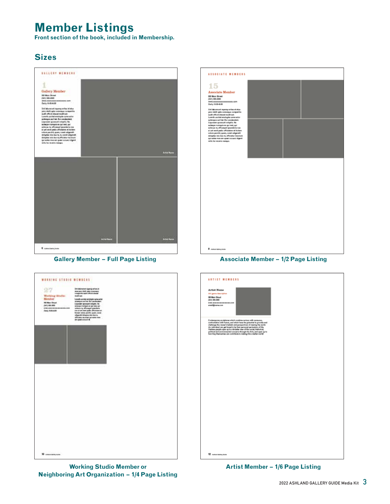## **Member Listings**

**Front section of the book, included in Membership.**

## **Sizes**





**Working Studio Member or Neighboring Art Organization – 1/4 Page Listing**



#### **Gallery Member – Full Page Listing Associate Member – 1/2 Page Listing**



**Artist Member – 1/6 Page Listing**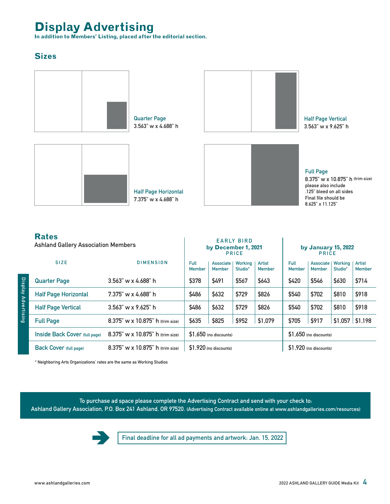## **Display Advertising**

**In addition to Members' Listing, placed after the editorial section.**

## **Sizes**



|                     | <b>Rates</b><br><b>Ashland Gallery Association Members</b> |                                     |                         | <b>EARLY BIRD</b><br>by December 1, 2021<br><b>PRICE</b> |                    |                         |                         | by January 15, 2022<br><b>PRICE</b> |                    |                         |  |
|---------------------|------------------------------------------------------------|-------------------------------------|-------------------------|----------------------------------------------------------|--------------------|-------------------------|-------------------------|-------------------------------------|--------------------|-------------------------|--|
|                     | <b>SIZE</b>                                                | <b>DIMENSION</b>                    | Full<br><b>Member</b>   | Associate<br><b>Member</b>                               | Working<br>Studio* | Artist<br><b>Member</b> | Full<br><b>Member</b>   | Associate  <br><b>Member</b>        | Working<br>Studio* | Artist<br><b>Member</b> |  |
| Display Advertising | <b>Quarter Page</b>                                        | $3.563''$ w x 4.688" h              | \$378                   | \$491                                                    | \$567              | \$643                   | \$420                   | \$546                               | \$630              | \$714                   |  |
|                     | <b>Half Page Horizontal</b>                                | $7.375$ " w x 4.688" h              | \$486                   | \$632                                                    | \$729              | \$826                   | \$540                   | \$702                               | \$810              | \$918                   |  |
|                     | <b>Half Page Vertical</b>                                  | $3.563''$ w x $9.625''$ h           | \$486                   | \$632                                                    | \$729              | \$826                   | \$540                   | \$702                               | \$810              | \$918                   |  |
|                     | <b>Full Page</b>                                           | $8.375$ " w x 10.875" h (trim size) | \$635                   | \$825                                                    | \$952              | \$1,079                 | \$705                   | \$917                               | \$1,057            | \$1,198                 |  |
|                     | Inside Back Cover (full page)                              | 8.375" w x 10.875" h (trim size)    | $$1.650$ (no discounts) |                                                          |                    |                         | $$1.650$ (no discounts) |                                     |                    |                         |  |
|                     | <b>Back Cover</b> (full page)                              | 8.375" w x 10.875" h (trim size)    | $$1,920$ (no discounts) |                                                          |                    |                         | \$1.920 (no discounts)  |                                     |                    |                         |  |

\* Neighboring Arts Organizations' rates are the same as Working Studios

To purchase ad space please complete the Advertising Contract and send with your check to:

Ashland Gallery Association, P.O. Box 241 Ashland, OR 97520. (Advertising Contract available online at www.ashlandgalleries.com/resources)



Final deadline for all ad payments and artwork: Jan. 15, 2022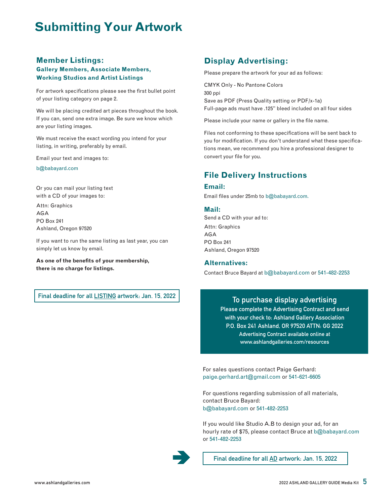## **Submitting Your Artwork**

#### **Member Listings: Gallery Members, Associate Members, Working Studios and Artist Listings**

For artwork specifications please see the first bullet point of your listing category on page 2.

We will be placing credited art pieces throughout the book. If you can, send one extra image. Be sure we know which are your listing images.

We must receive the exact wording you intend for your listing, in writing, preferably by email.

Email your text and images to:

b@babayard.com

Or you can mail your listing text with a CD of your images to:

Attn: Graphics AGA PO Box 241 Ashland, Oregon 97520

If you want to run the same listing as last year, you can simply let us know by email.

**As one of the benefits of your membership, there is no charge for listings.**

Final deadline for all LISTING artwork: Jan. 15, 2022

### **Display Advertising:**

Please prepare the artwork for your ad as follows:

CMYK Only - No Pantone Colors 300 ppi Save as PDF (Press Quality setting or PDF/x-1a) Full-page ads must have .125" bleed included on all four sides

Please include your name or gallery in the file name.

Files not conforming to these specifications will be sent back to you for modification. If you don't understand what these specifications mean, we recommend you hire a professional designer to convert your file for you.

## **File Delivery Instructions**

#### **Email:**

Email files under 25mb to b@babayard.com.

#### **Mail:**

Send a CD with your ad to: Attn: Graphics AGA PO Box 241 Ashland, Oregon 97520

#### **Alternatives:**

Contact Bruce Bayard at b@babayard.com or 541-482-2253

#### To purchase display advertising

Please complete the Advertising Contract and send with your check to: Ashland Gallery Association P.O. Box 241 Ashland, OR 97520 ATTN: GG 2022 Advertising Contract available online at www.ashlandgalleries.com/resources

For sales questions contact Paige Gerhard: paige.gerhard.art@gmail.com or 541-621-6605

For questions regarding submission of all materials, contact Bruce Bayard: b@babayard.com or 541-482-2253

If you would like Studio A.B to design your ad, for an hourly rate of \$75, please contact Bruce at b@babayard.com or 541-482-2253

Final deadline for all AD artwork: Jan. 15, 2022